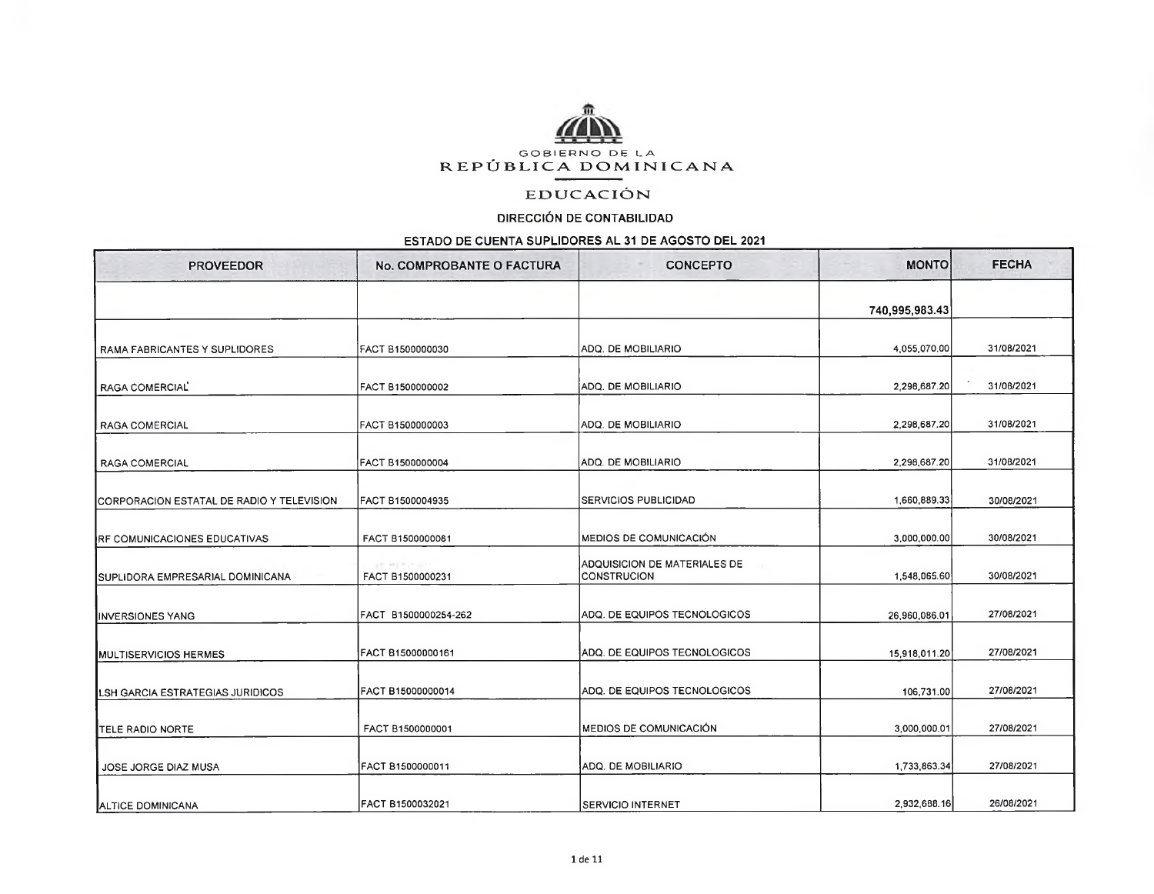

## **EDUCACIÓN**

## DIRECCIÓN DE CONTABILIDAD

## ESTADO DE CUENTA SUPLIDORES AL 31 DE AGOSTO DEL 2021

| <b>PROVEEDOR</b>                                  | No. COMPROBANTE O FACTURA      | <b>CONCEPTO</b>                                    | <b>MONTO</b>   | <b>FECHA</b> |
|---------------------------------------------------|--------------------------------|----------------------------------------------------|----------------|--------------|
|                                                   |                                |                                                    | 740,995,983.43 |              |
| RAMA FABRICANTES Y SUPLIDORES                     | FACT B1500000030               | ADQ. DE MOBILIARIO                                 | 4,055,070.00   | 31/08/2021   |
| RAGA COMERCIAL                                    | FACT B1500000002               | ADQ. DE MOBILIARIO                                 | 2,298,687.20   | 31/08/2021   |
| <b>RAGA COMERCIAL</b>                             | FACT B1500000003               | ADQ. DE MOBILIARIO                                 | 2,298,687.20   | 31/08/2021   |
| <b>RAGA COMERCIAL</b>                             | FACT B1500000004               | ADQ. DE MOBILIARIO                                 | 2,298,687.20   | 31/08/2021   |
| <b>ICORPORACION ESTATAL DE RADIO Y TELEVISION</b> | FACT B1500004935               | <b>SERVICIOS PUBLICIDAD</b>                        | 1,660,889.33   | 30/08/2021   |
| <b>IRF COMUNICACIONES EDUCATIVAS</b>              | FACT B1500000081               | MEDIOS DE COMUNICACIÓN                             | 3,000,000.00   | 30/08/2021   |
| <b>ISUPLIDORA EMPRESARIAL DOMINICANA</b>          | 公開 神主用(所当)<br>FACT B1500000231 | ADQUISICION DE MATERIALES DE<br><b>CONSTRUCION</b> | 1,548,065.60   | 30/08/2021   |
| <b>INVERSIONES YANG</b>                           | FACT B1500000254-262           | ADQ. DE EQUIPOS TECNOLOGICOS                       | 26.960.086.01  | 27/08/2021   |
| <b>MULTISERVICIOS HERMES</b>                      | FACT 815000000161              | ADQ. DE EQUIPOS TECNOLOGICOS                       | 15,918,011.20  | 27/08/2021   |
| LSH GARCIA ESTRATEGIAS JURIDICOS                  | FACT B15000000014              | ADQ. DE EQUIPOS TECNOLOGICOS                       | 106,731.00     | 27/08/2021   |
| ITELE RADIO NORTE                                 | FACT B1500000001               | <b>MEDIOS DE COMUNICACIÓN</b>                      | 3,000,000.01   | 27/08/2021   |
| JOSE JORGE DIAZ MUSA                              | FACT 81500000011               | ADQ. DE MOBILIARIO                                 | 1,733,863.34   | 27/08/2021   |
| ALTICE DOMINICANA                                 | FACT B1500032021               | ISERVICIO INTERNET                                 | 2,932,688.16   | 26/08/2021   |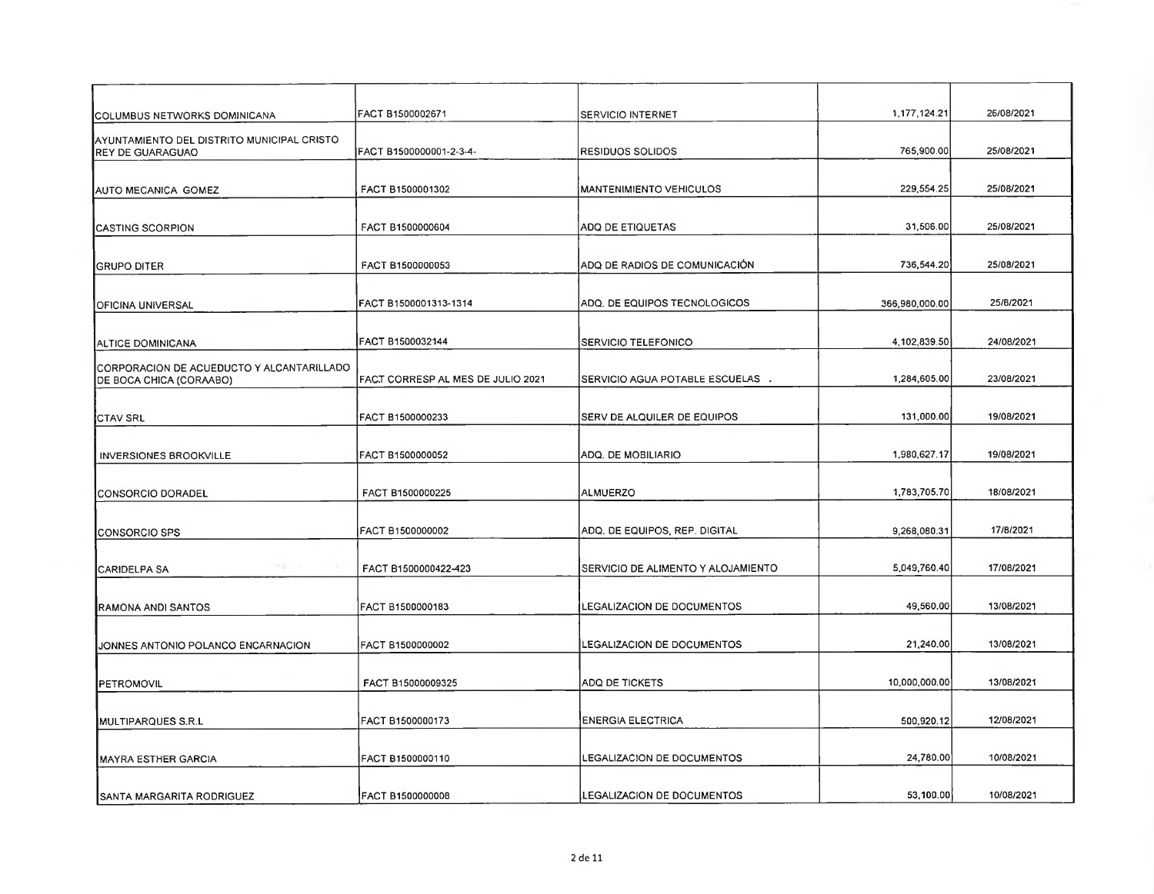| COLUMBUS NETWORKS DOMINICANA                                          | FACT B1500002671                  | <b>SERVICIO INTERNET</b>           | 1,177,124.21   | 26/08/2021 |
|-----------------------------------------------------------------------|-----------------------------------|------------------------------------|----------------|------------|
| AYUNTAMIENTO DEL DISTRITO MUNICIPAL CRISTO<br><b>REY DE GUARAGUAO</b> | FACT B1500000001-2-3-4-           | RESIDUOS SOLIDOS                   | 765,900.00     | 25/08/2021 |
| AUTO MECANICA GOMEZ                                                   | FACT B1500001302                  | MANTENIMIENTO VEHICULOS            | 229,554.25     | 25/08/2021 |
| <b>CASTING SCORPION</b>                                               | FACT B1500000604                  | ADQ DE ETIQUETAS                   | 31,506.00      | 25/08/2021 |
| <b>GRUPO DITER</b>                                                    | FACT B1500000053                  | ADQ DE RADIOS DE COMUNICACIÓN      | 736,544.20     | 25/08/2021 |
| OFICINA UNIVERSAL                                                     | FACT B1500001313-1314             | ADQ. DE EQUIPOS TECNOLOGICOS       | 366,980,000.00 | 25/8/2021  |
| ALTICE DOMINICANA                                                     | FACT B1500032144                  | SERVICIO TELEFONICO                | 4,102,839.50   | 24/08/2021 |
| CORPORACION DE ACUEDUCTO Y ALCANTARILLADO<br>DE BOCA CHICA (CORAABO)  | FACT CORRESP AL MES DE JULIO 2021 | SERVICIO AGUA POTABLE ESCUELAS .   | 1,284,605.00   | 23/08/2021 |
| <b>CTAV SRL</b>                                                       | FACT B1500000233                  | <b>SERV DE ALQUILER DE EQUIPOS</b> | 131,000.00     | 19/08/2021 |
| <b>INVERSIONES BROOKVILLE</b>                                         | FACT B1500000052                  | ADQ. DE MOBILIARIO                 | 1,980,627.17   | 19/08/2021 |
| CONSORCIO DORADEL                                                     | FACT B1500000225                  | ALMUERZO                           | 1,783,705.70   | 18/08/2021 |
| CONSORCIO SPS                                                         | FACT B1500000002                  | ADQ, DE EQUIPOS, REP. DIGITAL      | 9,268,080.31   | 17/8/2021  |
| ce u<br><b>ICARIDELPA SA</b>                                          | FACT B1500000422-423              | SERVICIO DE ALIMENTO Y ALOJAMIENTO | 5,049,760.40   | 17/08/2021 |
| RAMONA ANDI SANTOS                                                    | FACT B1500000183                  | LEGALIZACION DE DOCUMENTOS         | 49,560.00      | 13/08/2021 |
| JONNES ANTONIO POLANCO ENCARNACION                                    | FACT B1500000002                  | LEGALIZACION DE DOCUMENTOS         | 21,240.00      | 13/08/2021 |
| PETROMOVIL                                                            | FACT B15000009325                 | ADQ DE TICKETS                     | 10,000,000.00  | 13/08/2021 |
| MULTIPARQUES S.R.L                                                    | FACT B1500000173                  | <b>ENERGIA ELECTRICA</b>           | 500,920.12     | 12/08/2021 |
| <b>IMAYRA ESTHER GARCIA</b>                                           | FACT B1500000110                  | LEGALIZACION DE DOCUMENTOS         | 24,780.00      | 10/08/2021 |
| <b>SANTA MARGARITA RODRIGUEZ</b>                                      | FACT B1500000008                  | <b>LEGALIZACION DE DOCUMENTOS</b>  | 53,100.00      | 10/08/2021 |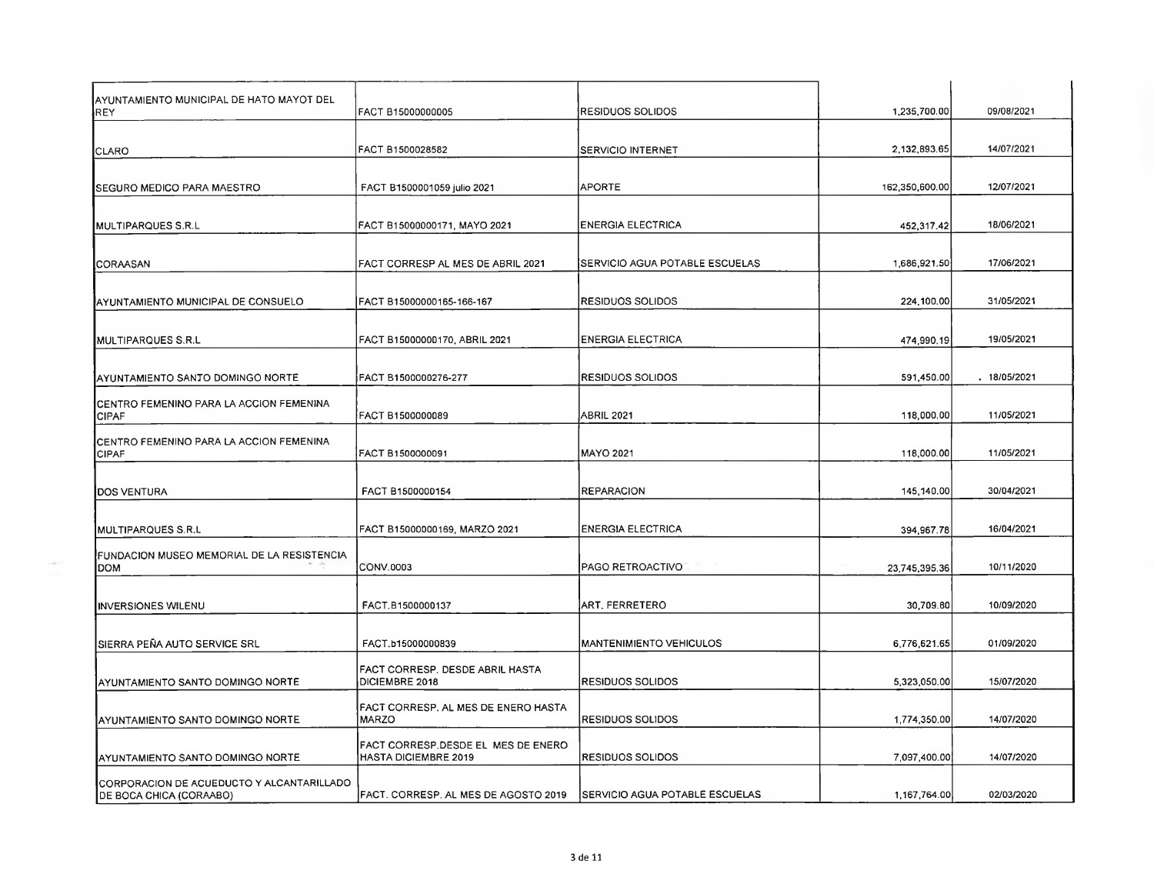| AYUNTAMIENTO MUNICIPAL DE HATO MAYOT DEL<br><b>REY</b>               | FACT B15000000005                                                        | IRESIDUOS SOLIDOS                      | 1,235,700.00   | 09/08/2021  |
|----------------------------------------------------------------------|--------------------------------------------------------------------------|----------------------------------------|----------------|-------------|
| CLARO                                                                | FACT B1500028582                                                         | SERVICIO INTERNET                      | 2,132,893.65   | 14/07/2021  |
|                                                                      |                                                                          |                                        |                |             |
| <b>ISEGURO MEDICO PARA MAESTRO</b>                                   | FACT B1500001059 julio 2021                                              | <b>APORTE</b>                          | 162,350,600.00 | 12/07/2021  |
| MULTIPARQUES S.R.L                                                   | FACT B15000000171, MAYO 2021                                             | <b>ENERGIA ELECTRICA</b>               | 452,317.42     | 18/06/2021  |
| ICORAASAN                                                            | FACT CORRESP AL MES DE ABRIL 2021                                        | SERVICIO AGUA POTABLE ESCUELAS         | 1686,921.50    | 17/06/2021  |
| AYUNTAMIENTO MUNICIPAL DE CONSUELO                                   | FACT B15000000165-166-167                                                | <b>RESIDUOS SOLIDOS</b>                | 224,100.00     | 31/05/2021  |
|                                                                      |                                                                          |                                        |                |             |
| MULTIPARQUES S.R.L                                                   | FACT B15000000170, ABRIL 2021                                            | <b>ENERGIA ELECTRICA</b>               | 474,990.19     | 19/05/2021  |
| AYUNTAMIENTO SANTO DOMINGO NORTE                                     | FACT B1500000276-277                                                     | <b>RESIDUOS SOLIDOS</b>                | 591,450.00     | .18/05/2021 |
| CENTRO FEMENINO PARA LA ACCION FEMENINA<br><b>CIPAF</b>              | FACT B1500000089                                                         | ABRIL 2021                             | 118,000.00     | 11/05/2021  |
|                                                                      |                                                                          |                                        |                |             |
| CENTRO FEMENINO PARA LA ACCION FEMENINA<br><b>CIPAF</b>              | FACT B1500000091                                                         | <b>MAYO 2021</b>                       | 118,000.00     | 11/05/2021  |
| <b>DOS VENTURA</b>                                                   | FACT B1500000154                                                         | <b>REPARACION</b>                      | 145,140.00     | 30/04/2021  |
| IMULTIPARQUES S.R.L                                                  | FACT B15000000169, MARZO 2021                                            | <b>ENERGIA ELECTRICA</b>               | 394,967.78     | 16/04/2021  |
| FUNDACION MUSEO MEMORIAL DE LA RESISTENCIA<br>DOM                    | CONV.0003                                                                | PAGO RETROACTIVO                       | 23,745,395.36  | 10/11/2020  |
|                                                                      |                                                                          |                                        |                |             |
| <b>INVERSIONES WILENU</b>                                            | FACT.B1500000137                                                         | ART. FERRETERO                         | 30,709.80      | 10/09/2020  |
| SIERRA PEÑA AUTO SERVICE SRL                                         | FACT.b15000000839                                                        | <b>MANTENIMIENTO VEHICULOS</b>         | 6,776,621.65   | 01/09/2020  |
| AYUNTAMIENTO SANTO DOMINGO NORTE                                     | FACT CORRESP. DESDE ABRIL HASTA<br><b>DICIEMBRE 2018</b>                 | <b>RESIDUOS SOLIDOS</b>                | 5,323,050.00   | 15/07/2020  |
| AYUNTAMIENTO SANTO DOMINGO NORTE                                     | <b>FACT CORRESP. AL MES DE ENERO HASTA</b><br><b>MARZO</b>               | <b>RESIDUOS SOLIDOS</b>                | 1,774,350.00   | 14/07/2020  |
| AYUNTAMIENTO SANTO DOMINGO NORTE                                     | <b>FACT CORRESP.DESDE EL MES DE ENERO</b><br><b>HASTA DICIEMBRE 2019</b> | <b>RESIDUOS SOLIDOS</b>                | 7,097,400.00   | 14/07/2020  |
| CORPORACION DE ACUEDUCTO Y ALCANTARILLADO<br>DE BOCA CHICA (CORAABO) | FACT. CORRESP. AL MES DE AGOSTO 2019                                     | <b>ISERVICIO AGUA POTABLE ESCUELAS</b> | 1,167,764.00   | 02/03/2020  |
|                                                                      |                                                                          |                                        |                |             |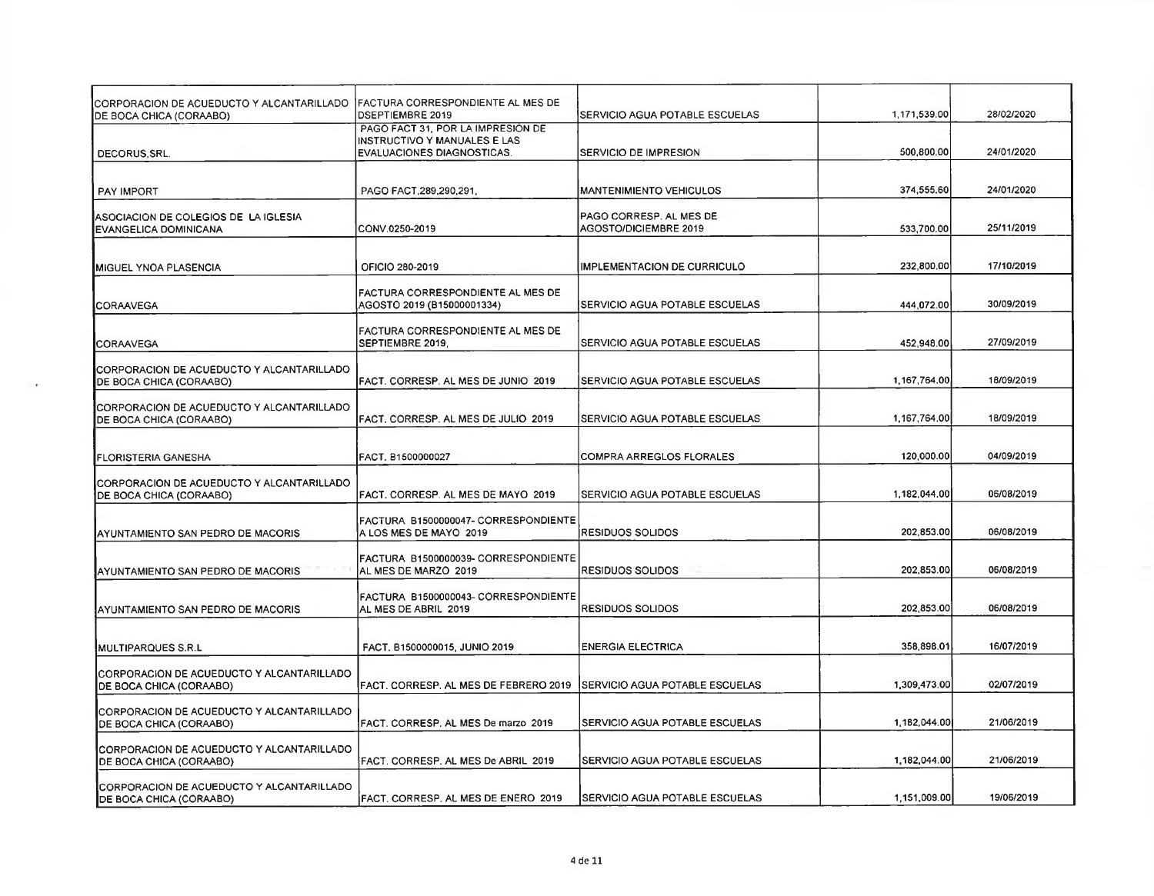| CORPORACION DE ACUEDUCTO Y ALCANTARILLADO   FACTURA CORRESPONDIENTE AL MES DE<br>DE BOCA CHICA (CORAABO) | DSEPTIEMBRE 2019                                                                                       | SERVICIO AGUA POTABLE ESCUELAS                          | 1,171,539.00 | 28/02/2020 |
|----------------------------------------------------------------------------------------------------------|--------------------------------------------------------------------------------------------------------|---------------------------------------------------------|--------------|------------|
| DECORUS, SRL.                                                                                            | PAGO FACT 31, POR LA IMPRESIÓN DE<br>INSTRUCTIVO Y MANUALES E LAS<br><b>EVALUACIONES DIAGNOSTICAS.</b> | <b>SERVICIO DE IMPRESION</b>                            | 500,800.00   | 24/01/2020 |
| <b>PAY IMPORT</b>                                                                                        | PAGO FACT, 289, 290, 291,                                                                              | <b>MANTENIMIENTO VEHICULOS</b>                          | 374,555.60   | 24/01/2020 |
| ASOCIACIÓN DE COLEGIOS DE LA IGLESIA<br>EVANGELICA DOMINICANA                                            | CONV.0250-2019                                                                                         | PAGO CORRESP. AL MES DE<br><b>AGOSTO/DICIEMBRE 2019</b> | 533,700.00   | 25/11/2019 |
| <b>MIGUEL YNOA PLASENCIA</b>                                                                             | OFICIO 280-2019                                                                                        | IMPLEMENTACION DE CURRICULO                             | 232,800.00   | 17/10/2019 |
| ICORAAVEGA                                                                                               | FACTURA CORRESPONDIENTE AL MES DE<br>AGOSTO 2019 (B15000001334)                                        | SERVICIO AGUA POTABLE ESCUELAS                          | 444,072.00   | 30/09/2019 |
| <b>ICORAAVEGA</b>                                                                                        | FACTURA CORRESPONDIENTE AL MES DE<br>SEPTIEMBRE 2019.                                                  | SERVICIO AGUA POTABLE ESCUELAS                          | 452,948.00   | 27/09/2019 |
| CORPORACION DE ACUEDUCTO Y ALCANTARILLADO<br>DE BOCA CHICA (CORAABO)                                     | FACT. CORRESP. AL MES DE JUNIO 2019                                                                    | SERVICIO AGUA POTABLE ESCUELAS                          | 1,167,764.00 | 18/09/2019 |
| CORPORACION DE ACUEDUCTO Y ALCANTARILLADO<br>DE BOCA CHICA (CORAABO)                                     | FACT, CORRESP. AL MES DE JULIO 2019                                                                    | SERVICIO AGUA POTABLE ESCUELAS                          | 1,167,764.00 | 18/09/2019 |
| <b>FLORISTERIA GANESHA</b>                                                                               | FACT. B1500000027                                                                                      | COMPRA ARREGLOS FLORALES                                | 120,000.00   | 04/09/2019 |
| CORPORACION DE ACUEDUCTO Y ALCANTARILLADO<br>DE BOCA CHICA (CORAABO)                                     | FACT, CORRESP. AL MES DE MAYO 2019                                                                     | SERVICIO AGUA POTABLE ESCUELAS                          | 1,182,044.00 | 06/08/2019 |
| AYUNTAMIENTO SAN PEDRO DE MACORIS                                                                        | FACTURA B1500000047- CORRESPONDIENTE<br>A LOS MES DE MAYO 2019                                         | RESIDUOS SOLIDOS                                        | 202,853.00   | 06/08/2019 |
| AYUNTAMIENTO SAN PEDRO DE MACORIS                                                                        | FACTURA B1500000039- CORRESPONDIENTE<br>AL MES DE MARZO 2019                                           | <b>RESIDUOS SOLIDOS</b>                                 | 202,853.00   | 06/08/2019 |
| AYUNTAMIENTO SAN PEDRO DE MACORIS                                                                        | FACTURA B1500000043- CORRESPONDIENTE<br>AL MES DE ABRIL 2019                                           | RESIDUOS SOLIDOS                                        | 202,853.00   | 06/08/2019 |
| MULTIPARQUES S.R.L                                                                                       | FACT. B1500000015, JUNIO 2019                                                                          | <b>ENERGIA ELECTRICA</b>                                | 358,898.01   | 16/07/2019 |
| ICORPORACION DE ACUEDUCTO Y ALCANTARILLADO<br>DE BOCA CHICA (CORAABO)                                    | FACT. CORRESP. AL MES DE FEBRERO 2019                                                                  | <b>ISERVICIO AGUA POTABLE ESCUELAS</b>                  | 1,309,473.00 | 02/07/2019 |
| CORPORACION DE ACUEDUCTO Y ALCANTARILLADO<br>DE BOCA CHICA (CORAABO)                                     | FACT, CORRESP, AL MES De marzo 2019                                                                    | SERVICIO AGUA POTABLE ESCUELAS                          | 1,182,044.00 | 21/06/2019 |
| CORPORACION DE ACUEDUCTO Y ALCANTARILLADO<br>DE BOCA CHICA (CORAABO)                                     | FACT. CORRESP. AL MES De ABRIL 2019                                                                    | SERVICIO AGUA POTABLE ESCUELAS                          | 1,182,044.00 | 21/06/2019 |
| CORPORACION DE ACUEDUCTO Y ALCANTARILLADO<br><b>DE BOCA CHICA (CORAABO)</b>                              | FACT. CORRESP. AL MES DE ENERO 2019                                                                    | SERVICIO AGUA POTABLE ESCUELAS                          | 1,151,009.00 | 19/06/2019 |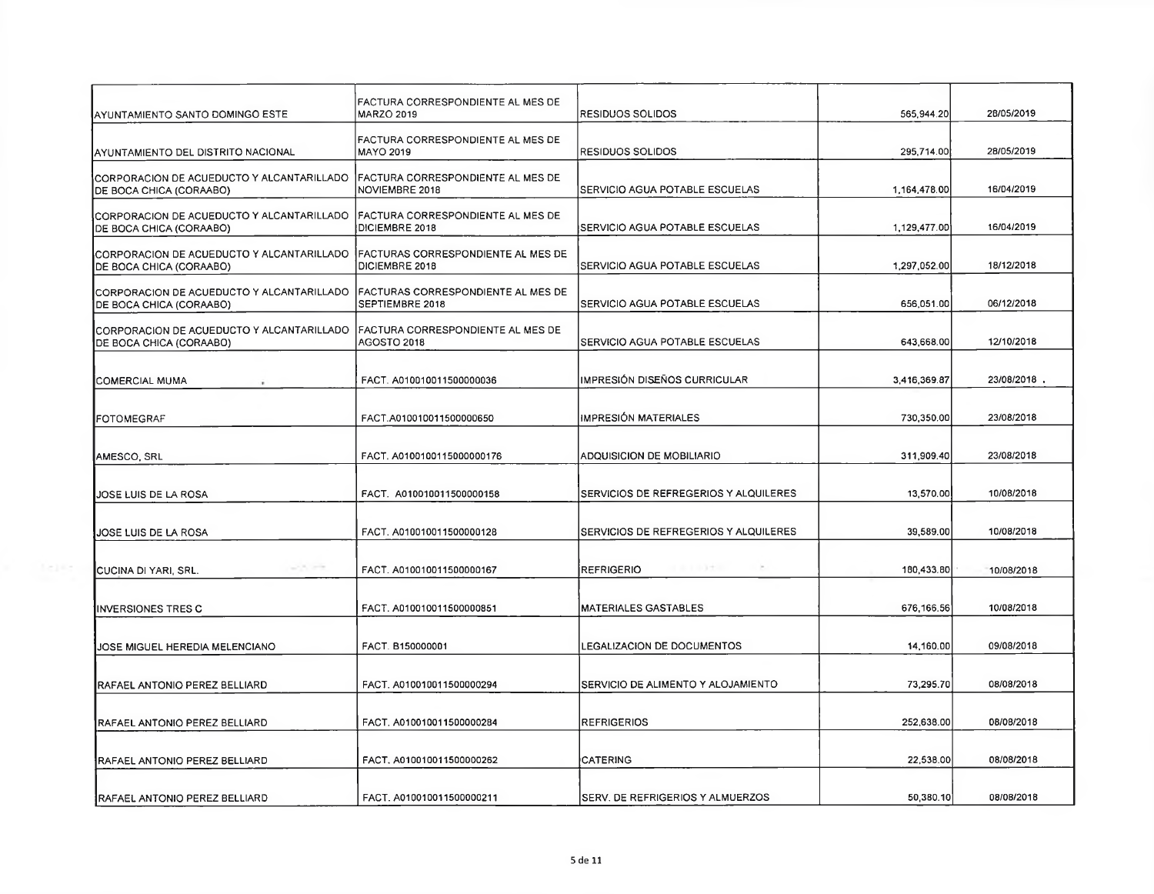| AYUNTAMIENTO SANTO DOMINGO ESTE                                                                           | FACTURA CORRESPONDIENTE AL MES DE<br>MARZO 2019            | RESIDUOS SOLIDOS                      | 565,944.20   | 28/05/2019  |
|-----------------------------------------------------------------------------------------------------------|------------------------------------------------------------|---------------------------------------|--------------|-------------|
| AYUNTAMIENTO DEL DISTRITO NACIONAL                                                                        | FACTURA CORRESPONDIENTE AL MES DE<br><b>MAYO 2019</b>      | RESIDUOS SOLIDOS                      | 295,714.00   | 28/05/2019  |
| CORPORACION DE ACUEDUCTO Y ALCANTARILLADO<br>DE BOCA CHICA (CORAABO)                                      | <b>FACTURA CORRESPONDIENTE AL MES DE</b><br>NOVIEMBRE 2018 | SERVICIO AGUA POTABLE ESCUELAS        | 1,164,478.00 | 16/04/2019  |
| CORPORACION DE ACUEDUCTO Y ALCANTARILLADO   FACTURA CORRESPONDIENTE AL MES DE<br>DE BOCA CHICA (CORAABO)  | <b>IDICIEMBRE 2018</b>                                     | SERVICIO AGUA POTABLE ESCUELAS        | 1,129,477.00 | 16/04/2019  |
| CORPORACION DE ACUEDUCTO Y ALCANTARILLADO   FACTURAS CORRESPONDIENTE AL MES DE<br>DE BOCA CHICA (CORAABO) | DICIEMBRE 2018                                             | SERVICIO AGUA POTABLE ESCUELAS        | 1,297,052.00 | 18/12/2018  |
| CORPORACION DE ACUEDUCTO Y ALCANTARILLADO  FACTURAS CORRESPONDIENTE AL MES DE<br>DE BOCA CHICA (CORAABO)  | SEPTIEMBRE 2018                                            | SERVICIO AGUA POTABLE ESCUELAS        | 656,051.00   | 06/12/2018  |
| CORPORACION DE ACUEDUCTO Y ALCANTARILLADO FACTURA CORRESPONDIENTE AL MES DE<br>DE BOCA CHICA (CORAABO)    | AGOSTO 2018                                                | SERVICIO AGUA POTABLE ESCUELAS        | 643,668.00   | 12/10/2018  |
| <b>ICOMERCIAL MUMA</b>                                                                                    | FACT. A010010011500000036                                  | IMPRESIÓN DISEÑOS CURRICULAR          | 3,416,369.87 | 23/08/2018. |
| FOTOMEGRAF                                                                                                | FACT.A010010011500000650                                   | <b>IMPRESIÓN MATERIALES</b>           | 730,350.00   | 23/08/2018  |
| AMESCO, SRL                                                                                               | FACT, A0100100115000000176                                 | ADQUISICION DE MOBILIARIO             | 311,909.40   | 23/08/2018  |
| IJOSE LUIS DE LA ROSA                                                                                     | FACT. A010010011500000158                                  | SERVICIOS DE REFREGERIOS Y ALQUILERES | 13,570.00    | 10/08/2018  |
| IJOSE LUIS DE LA ROSA                                                                                     | FACT. A010010011500000128                                  | SERVICIOS DE REFREGERIOS Y ALQUILERES | 39,589.00    | 10/08/2018  |
| CUCINA DI YARI, SRL.                                                                                      | FACT. A010010011500000167                                  | エルエルスナイ<br><b>REFRIGERIO</b>          | 180,433.80   | 10/08/2018  |
| <b>INVERSIONES TRES C</b>                                                                                 | FACT. A010010011500000851                                  | <b>MATERIALES GASTABLES</b>           | 676, 166.56  | 10/08/2018  |
| JOSE MIGUEL HEREDIA MELENCIANO                                                                            | FACT. B150000001                                           | LEGALIZACION DE DOCUMENTOS            | 14,160.00    | 09/08/2018  |
| RAFAEL ANTONIO PEREZ BELLIARD                                                                             | FACT. A010010011500000294                                  | SERVICIO DE ALIMENTO Y ALOJAMIENTO    | 73,295.70    | 08/08/2018  |
| RAFAEL ANTONIO PEREZ BELLIARD                                                                             | FACT, A010010011500000284                                  | <b>REFRIGERIOS</b>                    | 252,638.00   | 08/08/2018  |
| RAFAEL ANTONIO PEREZ BELLIARD                                                                             | FACT, A010010011500000262                                  | <b>CATERING</b>                       | 22,538.00    | 08/08/2018  |
| <b>IRAFAEL ANTONIO PEREZ BELLIARD</b>                                                                     | FACT. A010010011500000211                                  | SERV. DE REFRIGERIOS Y ALMUERZOS      | 50,380.10    | 08/08/2018  |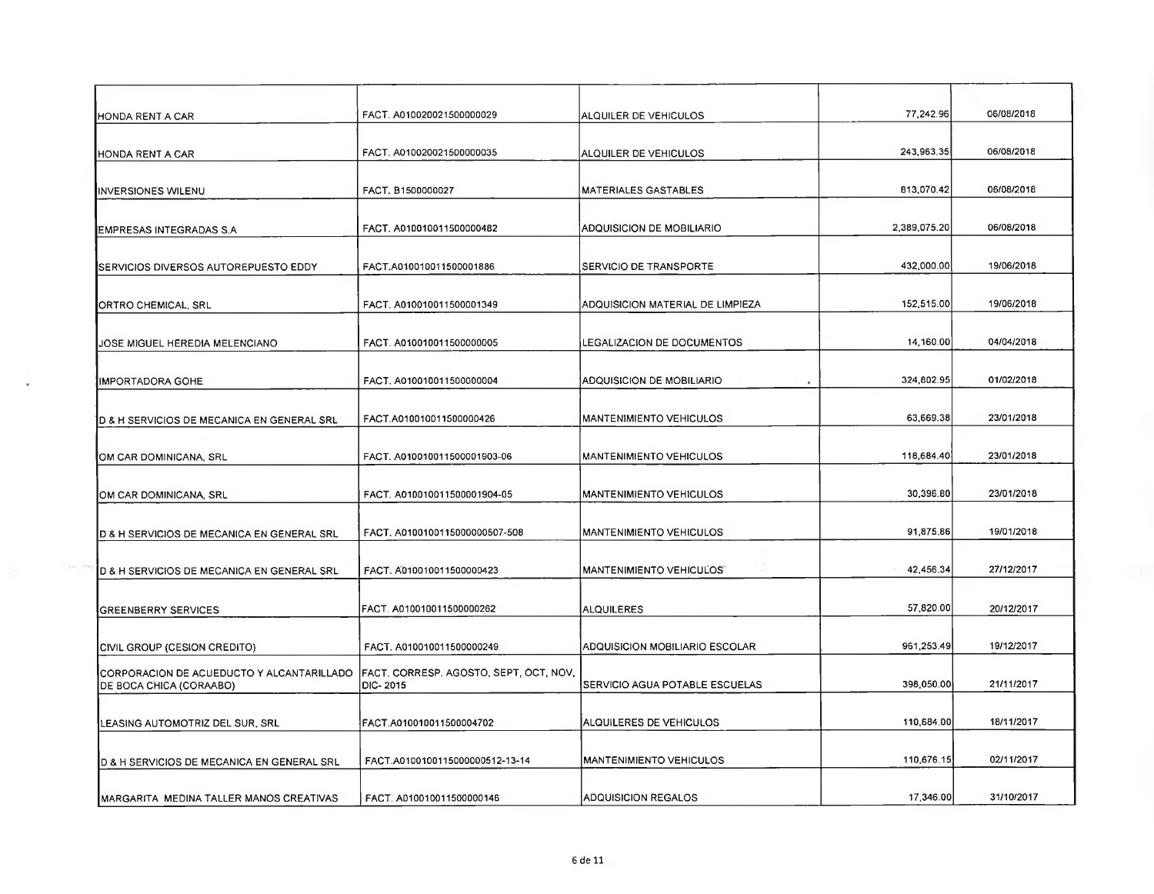| HONDA RENT A CAR                                                     | FACT. A010020021500000029                          | ALQUILER DE VEHICULOS            | 77,242.96    | 06/08/2018 |
|----------------------------------------------------------------------|----------------------------------------------------|----------------------------------|--------------|------------|
| HONDA RENT A CAR                                                     | FACT. A010020021500000035                          | ALQUILER DE VEHICULOS            | 243,963.35   | 06/08/2018 |
| <b>INVERSIONES WILENU</b>                                            | FACT, B1500000027                                  | <b>MATERIALES GASTABLES</b>      | 813,070.42   | 06/08/2018 |
| EMPRESAS INTEGRADAS S.A                                              | FACT. A010010011500000482                          | <b>ADQUISICION DE MOBILIARIO</b> | 2,389,075.20 | 06/08/2018 |
| SERVICIOS DIVERSOS AUTOREPUESTO EDDY                                 | FACT.A010010011500001886                           | <b>SERVICIO DE TRANSPORTE</b>    | 432,000.00   | 19/06/2018 |
| ORTRO CHEMICAL, SRL                                                  | FACT. A010010011500001349                          | ADQUISICION MATERIAL DE LIMPIEZA | 152,515.00   | 19/06/2018 |
| JOSE MIGUEL HEREDIA MELENCIANO                                       | FACT. A010010011500000005                          | LEGALIZACION DE DOCUMENTOS       | 14,160.00    | 04/04/2018 |
| IIMPORTADORA GOHE                                                    | FACT. A010010011500000004                          | ADQUISICION DE MOBILIARIO        | 324,802.95   | 01/02/2018 |
| D & H SERVICIOS DE MECANICA EN GENERAL SRL                           | FACT.A010010011500000426                           | <b>MANTENIMIENTO VEHICULOS</b>   | 63,669.38    | 23/01/2018 |
| OM CAR DOMINICANA, SRL                                               | FACT, A010010011500001903-06                       | <b>MANTENIMIENTO VEHICULOS</b>   | 118,684.40   | 23/01/2018 |
| OM CAR DOMINICANA, SRL                                               | FACT. A010010011500001904-05                       | <b>MANTENIMIENTO VEHICULOS</b>   | 30,396.80    | 23/01/2018 |
| D & H SERVICIOS DE MECANICA EN GENERAL SRL                           | FACT. A0100100115000000507-508                     | MANTENIMIENTO VEHICULOS          | 91.875.86    | 19/01/2018 |
| D & H SERVICIOS DE MECANICA EN GENERAL SRL                           | FACT. A010010011500000423                          | <b>MANTENIMIENTO VEHICULOS</b>   | 42,456.34    | 27/12/2017 |
| <b>GREENBERRY SERVICES</b>                                           | FACT. A010010011500000262                          | <b>ALQUILERES</b>                | 57,820.00    | 20/12/2017 |
| CIVIL GROUP (CESION CREDITO)                                         | FACT. A010010011500000249                          | ADQUISICION MOBILIARIO ESCOLAR   | 961,253.49   | 19/12/2017 |
| CORPORACION DE ACUEDUCTO Y ALCANTARILLADO<br>DE BOCA CHICA (CORAABO) | FACT. CORRESP. AGOSTO, SEPT. OCT. NOV.<br>DIC-2015 | SERVICIO AGUA POTABLE ESCUELAS   | 398,050.00   | 21/11/2017 |
| LEASING AUTOMOTRIZ DEL SUR, SRL                                      | FACT.A010010011500004702                           | ALQUILERES DE VEHICULOS          | 110,684.00   | 18/11/2017 |
| D & H SERVICIOS DE MECANICA EN GENERAL SRL                           | FACT.A0100100115000000512-13-14                    | <b>MANTENIMIENTO VEHICULOS</b>   | 110,676.15   | 02/11/2017 |
| MARGARITA MEDINA TALLER MANOS CREATIVAS                              | FACT. A010010011500000146                          | <b>ADQUISICION REGALOS</b>       | 17,346.00    | 31/10/2017 |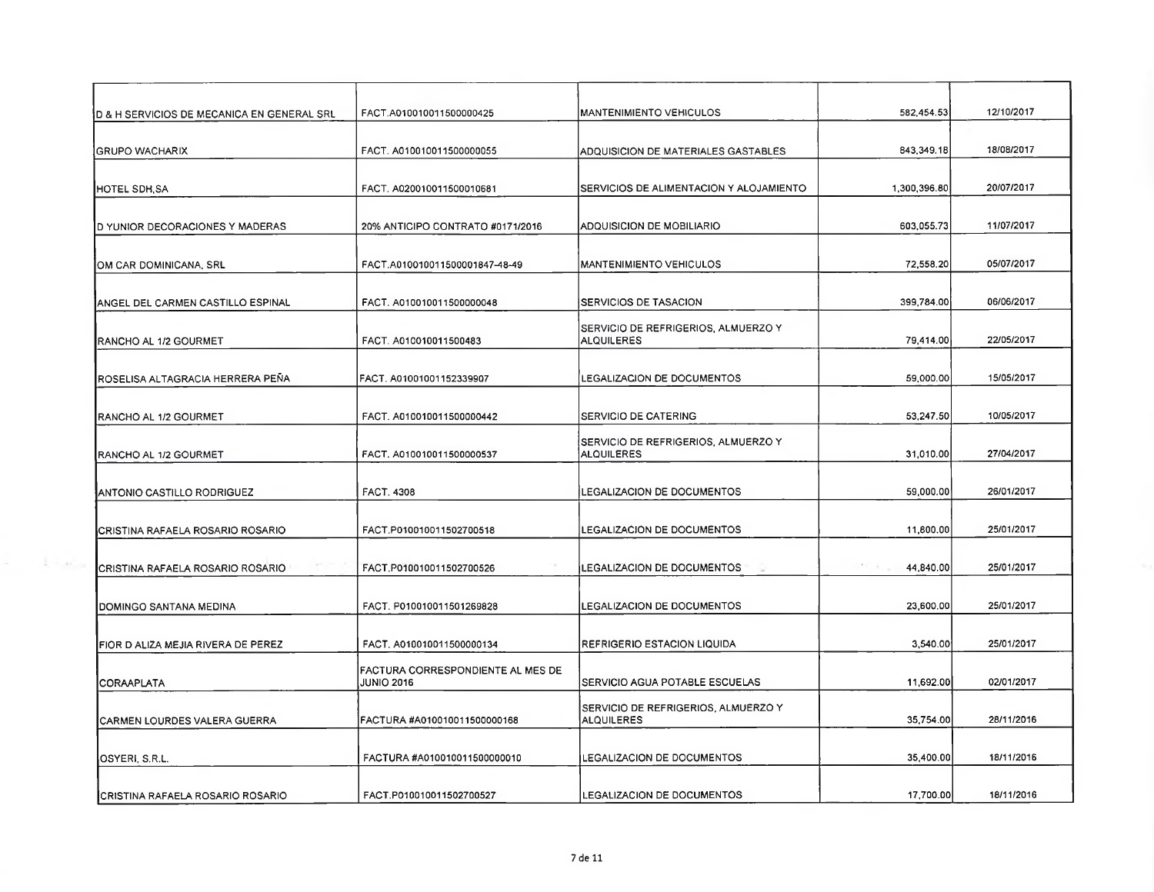| D & H SERVICIOS DE MECANICA EN GENERAL SRL         | FACT.A010010011500000425                               | <b>MANTENIMIENTO VEHICULOS</b>                           | 582,454.53            | 12/10/2017 |
|----------------------------------------------------|--------------------------------------------------------|----------------------------------------------------------|-----------------------|------------|
| <b>GRUPO WACHARIX</b>                              | FACT. A010010011500000055                              | ADQUISICION DE MATERIALES GASTABLES                      | 843,349.18            | 18/08/2017 |
| HOTEL SDH, SA                                      | FACT. A020010011500010681                              | SERVICIOS DE ALIMENTACION Y ALOJAMIENTO                  | 1 300,396.80          | 20/07/2017 |
| <b>D YUNIOR DECORACIONES Y MADERAS</b>             | 20% ANTICIPO CONTRATO #0171/2016                       | <b>ADQUISICION DE MOBILIARIO</b>                         | 603,055.73            | 11/07/2017 |
| IOM CAR DOMINICANA, SRL                            | FACT.A010010011500001847-48-49                         | <b>MANTENIMIENTO VEHICULOS</b>                           | 72,558.20             | 05/07/2017 |
| ANGEL DEL CARMEN CASTILLO ESPINAL                  | FACT. A010010011500000048                              | <b>SERVICIOS DE TASACION</b>                             | 399,784.00            | 06/06/2017 |
| RANCHO AL 1/2 GOURMET                              | FACT. A010010011500483                                 | SERVICIO DE REFRIGERIOS, ALMUERZO Y<br><b>ALQUILERES</b> | 79,414.00             | 22/05/2017 |
| ROSELISA ALTAGRACIA HERRERA PEÑA                   | FACT. A01001001152339907                               | LEGALIZACION DE DOCUMENTOS                               | 59,000.00             | 15/05/2017 |
| RANCHO AL 1/2 GOURMET                              | FACT. A010010011500000442                              | <b>SERVICIO DE CATERING</b>                              | 53,247.50             | 10/05/2017 |
| RANCHO AL 1/2 GOURMET                              | FACT. A010010011500000537                              | SERVICIO DE REFRIGERIOS, ALMUERZO Y<br><b>ALQUILERES</b> | 31,010.00             | 27/04/2017 |
| ANTONIO CASTILLO RODRIGUEZ                         | FACT. 4308                                             | LEGALIZACION DE DOCUMENTOS                               | 59,000.00             | 26/01/2017 |
| CRISTINA RAFAELA ROSARIO ROSARIO                   | FACT.P010010011502700518                               | <b>LEGALIZACION DE DOCUMENTOS</b>                        | 11,800.00             | 25/01/2017 |
| $-11 - 11 - 1$<br>CRISTINA RAFAELA ROSARIO ROSARIO | FACT P010010011502700526                               | LEGALIZACION DE DOCUMENTOS                               | Price of<br>44,840.00 | 25/01/2017 |
| DOMINGO SANTANA MEDINA                             | FACT. P010010011501269828                              | LEGALIZACION DE DOCUMENTOS                               | 23,600.00             | 25/01/2017 |
| FIOR D ALIZA MEJIA RIVERA DE PEREZ                 | FACT. A010010011500000134                              | REFRIGERIO ESTACION LIQUIDA                              | 3,540.00              | 25/01/2017 |
| CORAAPLATA                                         | FACTURA CORRESPONDIENTE AL MES DE<br><b>JUNIO 2016</b> | SERVICIO AGUA POTABLE ESCUELAS                           | 11,692.00             | 02/01/2017 |
| CARMEN LOURDES VALERA GUERRA                       | FACTURA #A010010011500000168                           | SERVICIO DE REFRIGERIOS, ALMUERZO Y<br><b>ALQUILERES</b> | 35,754.00             | 28/11/2016 |
| OSYERI, S.R.L.                                     | FACTURA #A010010011500000010                           | LEGALIZACION DE DOCUMENTOS                               | 35,400.00             | 18/11/2016 |
| CRISTINA RAFAELA ROSARIO ROSARIO                   | FACT.P010010011502700527                               | LEGALIZACION DE DOCUMENTOS                               | 17,700.00             | 18/11/2016 |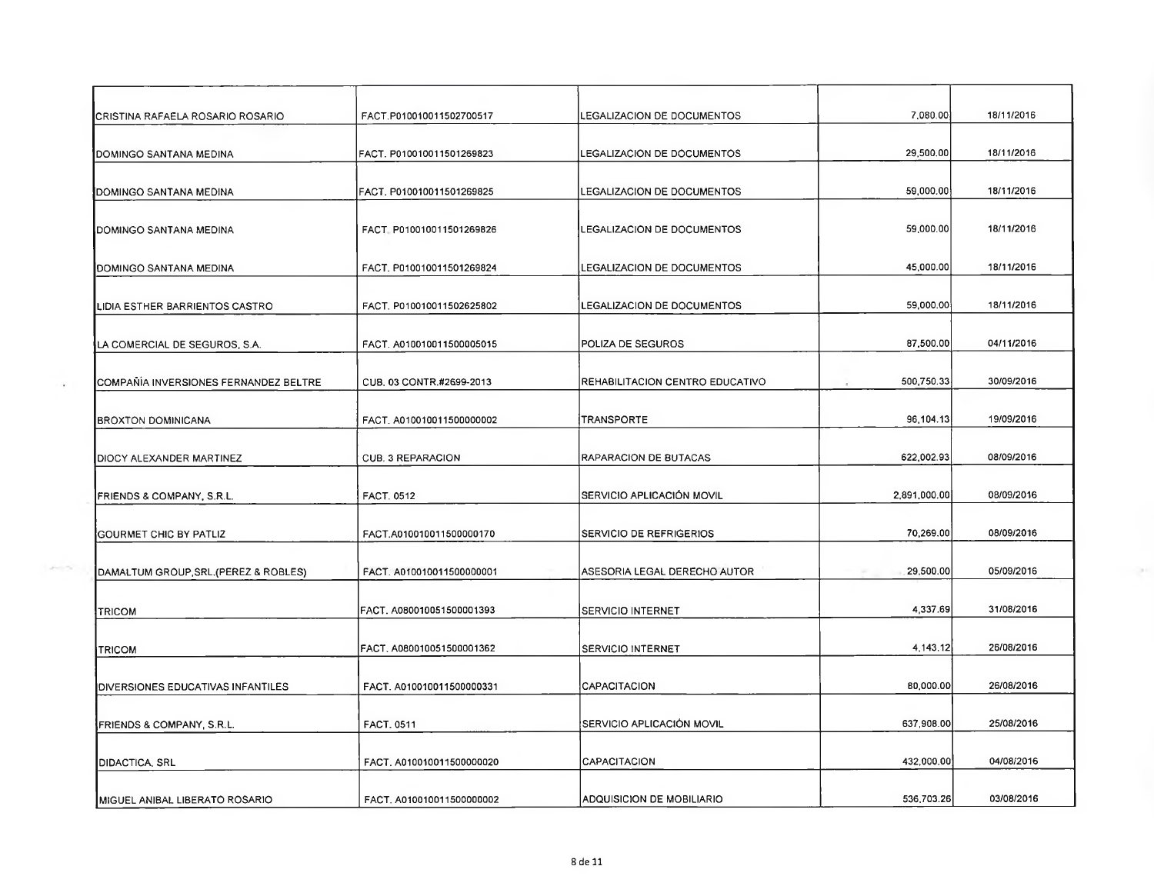| CRISTINA RAFAELA ROSARIO ROSARIO      | FACT.P010010011502700517  | LEGALIZACION DE DOCUMENTOS      | 7,080.00     | 18/11/2016 |
|---------------------------------------|---------------------------|---------------------------------|--------------|------------|
| DOMINGO SANTANA MEDINA                | FACT. P010010011501269823 | LEGALIZACION DE DOCUMENTOS      | 29,500.00    | 18/11/2016 |
| DOMINGO SANTANA MEDINA                | FACT. P010010011501269825 | LEGALIZACION DE DOCUMENTOS      | 59,000.00    | 18/11/2016 |
| DOMINGO SANTANA MEDINA                | FACT_P010010011501269826  | LEGALIZACION DE DOCUMENTOS      | 59,000.00    | 18/11/2016 |
| DOMINGO SANTANA MEDINA                | FACT, P010010011501269824 | LEGALIZACION DE DOCUMENTOS      | 45,000.00    | 18/11/2016 |
| LIDIA ESTHER BARRIENTOS CASTRO        | FACT. P010010011502625802 | LEGALIZACION DE DOCUMENTOS      | 59,000.00    | 18/11/2016 |
| LA COMERCIAL DE SEGUROS, S.A.         | FACT. A010010011500005015 | POLIZA DE SEGUROS               | 87,500.00    | 04/11/2016 |
| COMPAÑÍA INVERSIONES FERNANDEZ BELTRE | CUB, 03 CONTR,#2699-2013  | REHABILITACION CENTRO EDUCATIVO | 500,750.33   | 30/09/2016 |
| <b>BROXTON DOMINICANA</b>             | FACT. A010010011500000002 | TRANSPORTE                      | 96,104.13    | 19/09/2016 |
| DIOCY ALEXANDER MARTINEZ              | CUB. 3 REPARACION         | RAPARACION DE BUTACAS           | 622,002.93   | 08/09/2016 |
| FRIENDS & COMPANY, S.R.L.             | <b>FACT. 0512</b>         | SERVICIO APLICACIÓN MOVIL       | 2,891,000.00 | 08/09/2016 |
| GOURMET CHIC BY PATLIZ                | FACT.A010010011500000170  | SERVICIO DE REFRIGERIOS         | 70,269.00    | 08/09/2016 |
| DAMALTUM GROUP, SRL. (PEREZ & ROBLES) | FACT. A010010011500000001 | ASESORIA LEGAL DERECHO AUTOR    | 29,500.00    | 05/09/2016 |
| <b>TRICOM</b>                         | FACT. A080010051500001393 | <b>SERVICIO INTERNET</b>        | 4,337.69     | 31/08/2016 |
| TRICOM                                | FACT, A080010051500001362 | <b>SERVICIO INTERNET</b>        | 4,143.12     | 26/08/2016 |
| DIVERSIONES EDUCATIVAS INFANTILES     | FACT. A010010011500000331 | CAPACITACION                    | BD,000.00    | 26/08/2016 |
| FRIENDS & COMPANY, S.R.L.             | FACT. 0511                | SERVICIO APLICACIÓN MOVIL       | 637.908.00   | 25/08/2016 |
| DIDACTICA, SRL                        | FACT. A010010011500000020 | <b>CAPACITACION</b>             | 432,000.00   | 04/08/2016 |
| MIGUEL ANIBAL LIBERATO ROSARIO        | FACT, A010010011500000002 | IADQUISICION DE MOBILIARIO      | 536,703.26   | 03/08/2016 |

**Contract**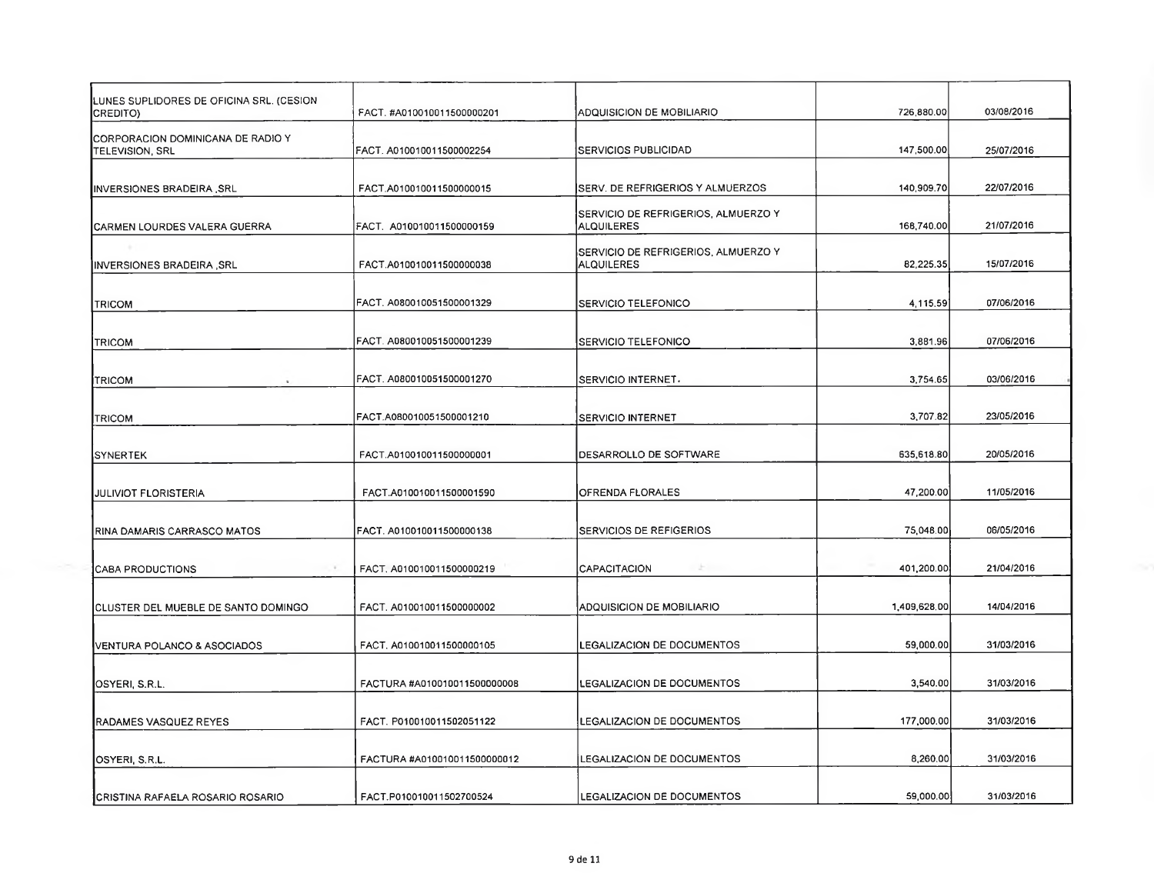| UNES SUPLIDORES DE OFICINA SRL. (CESION<br>CREDITO)  | FACT. #A010010011500000201   | ADQUISICION DE MOBILIARIO                                | 726,880.00   | 03/08/2016 |
|------------------------------------------------------|------------------------------|----------------------------------------------------------|--------------|------------|
| CORPORACION DOMINICANA DE RADIO Y<br>TELEVISION, SRL | FACT. A010010011500002254    | SERVICIOS PUBLICIDAD                                     | 147,500.00   | 25/07/2016 |
| INVERSIONES BRADEIRA SRL                             | FACT.A010010011500000015     | SERV. DE REFRIGERIOS Y ALMUERZOS                         | 140,909.70   | 22/07/2016 |
| CARMEN LOURDES VALERA GUERRA                         | FACT. A010010011500000159    | SERVICIO DE REFRIGERIOS, ALMUERZO Y<br><b>ALQUILERES</b> | 168,740.00   | 21/07/2016 |
| INVERSIONES BRADEIRA ,SRL                            | FACT.A010010011500000038     | SERVICIO DE REFRIGERIOS, ALMUERZO Y<br><b>ALQUILERES</b> | 82,225.35    | 15/07/2016 |
| <b>TRICOM</b>                                        | FACT, A080010051500001329    | SERVICIO TELEFONICO                                      | 4,115.59     | 07/06/2016 |
| TRICOM                                               | FACT. A080010051500001239    | <b>SERVICIO TELEFONICO</b>                               | 3,881.96     | 07/06/2016 |
| TRICOM                                               | FACT. A080010051500001270    | SERVICIO INTERNET.                                       | 3,754.65     | 03/06/2016 |
| <b>TRICOM</b>                                        | FACT.A080010051500001210     | SERVICIO INTERNET                                        | 3,707.82     | 23/05/2016 |
| SYNERTEK                                             | FACT.A010010011500000001     | DESARROLLO DE SOFTWARE                                   | 635,618.80   | 20/05/2016 |
| JULIVIOT FLORISTERIA                                 | FACT.A010010011500001590     | OFRENDA FLORALES                                         | 47,200.00    | 11/05/2016 |
| RINA DAMARIS CARRASCO MATOS                          | FACT. A010010011500000138    | SERVICIOS DE REFIGERIOS                                  | 75,048.00    | 06/05/2016 |
| <b>CABA PRODUCTIONS</b><br>-                         | FACT. A010010011500000219    | <b>CAPACITACION</b><br>A.                                | 401,200.00   | 21/04/2016 |
| CLUSTER DEL MUEBLE DE SANTO DOMINGO                  | FACT. A010010011500000002    | ADQUISICION DE MOBILIARIO                                | 1,409,628.00 | 14/04/2016 |
| VENTURA POLANCO & ASOCIADOS                          | FACT, A010010011500000105    | LEGALIZACION DE DOCUMENTOS                               | 59,000.00    | 31/03/2016 |
| OSYERI, S.R.L.                                       | FACTURA #A010010011500000008 | <b>LEGALIZACION DE DOCUMENTOS</b>                        | 3,540.00     | 31/03/2016 |
| RADAMES VASQUEZ REYES                                | FACT. P010010011502051122    | LEGALIZACION DE DOCUMENTOS                               | 177,000.00   | 31/03/2016 |
| OSYERI, S.R.L.                                       | FACTURA #A010010011500000012 | LEGALIZACION DE DOCUMENTOS                               | 8,260.00     | 31/03/2016 |
| <b>ICRISTINA RAFAELA ROSARIO ROSARIO</b>             | FACT.P010010011502700524     | LEGALIZACION DE DOCUMENTOS                               | 59,000.00    | 31/03/2016 |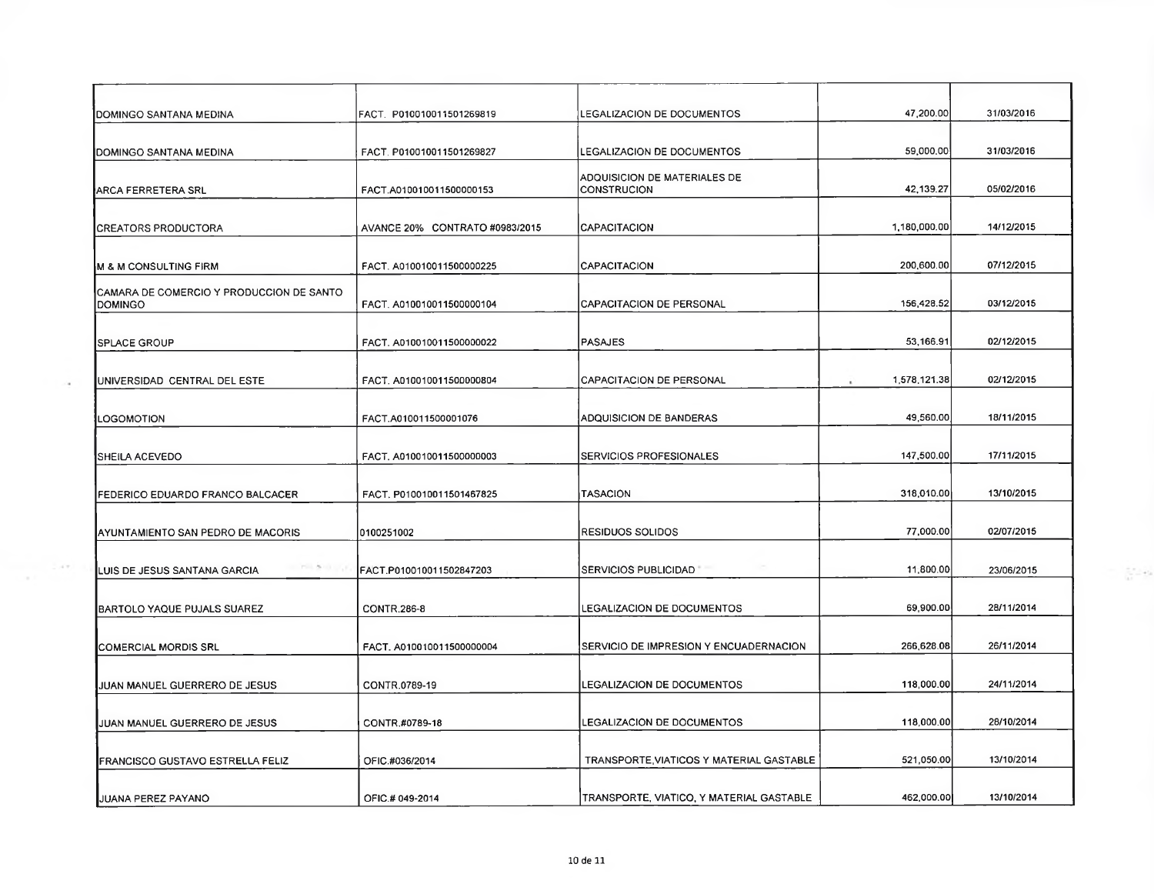| DOMINGO SANTANA MEDINA                               | FACT. P010010011501269819      | LEGALIZACION DE DOCUMENTOS                         | 47,200.00    | 31/03/2016 |
|------------------------------------------------------|--------------------------------|----------------------------------------------------|--------------|------------|
| DOMINGO SANTANA MEDINA                               | FACT. P010010011501269827      | LEGALIZACION DE DOCUMENTOS                         | 59,000.00    | 31/03/2016 |
| ARCA FERRETERA SRL                                   | FACT.A010010011500000153       | ADQUISICION DE MATERIALES DE<br><b>CONSTRUCION</b> | 42,139.27    | 05/02/2016 |
| <b>CREATORS PRODUCTORA</b>                           | AVANCE 20% CONTRATO #0983/2015 | CAPACITACION                                       | 1,180,000.00 | 14/12/2015 |
| <b>M &amp; M CONSULTING FIRM</b>                     | FACT. A010010011500000225      | CAPACITACION                                       | 200,600.00   | 07/12/2015 |
| CAMARA DE COMERCIO Y PRODUCCION DE SANTO<br>IDOMINGO | FACT. A010010011500000104      | <b>CAPACITACION DE PERSONAL</b>                    | 156,428.52   | 03/12/2015 |
| <b>SPLACE GROUP</b>                                  | FACT. A010010011500000022      | <b>PASAJES</b>                                     | 53,166.91    | 02/12/2015 |
| UNIVERSIDAD CENTRAL DEL ESTE                         | FACT. A010010011500000804      | CAPACITACION DE PERSONAL                           | 1,578,121.38 | 02/12/2015 |
| LOGOMOTION                                           | FACT.A010011500001076          | ADQUISICION DE BANDERAS                            | 49,560.00    | 18/11/2015 |
| SHEILA ACEVEDO                                       | FACT, A010010011500000003      | SERVICIOS PROFESIONALES                            | 147,500.00   | 17/11/2015 |
| FEDERICO EDUARDO FRANCO BALCACER                     | FACT. P010010011501467825      | <b>TASACION</b>                                    | 318,010.00   | 13/10/2015 |
| AYUNTAMIENTO SAN PEDRO DE MACORIS                    | 0100251002                     | RESIDUOS SOLIDOS                                   | 77,000.00    | 02/07/2015 |
| LUIS DE JESUS SANTANA GARCIA                         | FACT.P010010011502847203       | SERVICIOS PUBLICIDAD                               | 11,800.00    | 23/06/2015 |
| BARTOLO YAQUE PUJALS SUAREZ                          | <b>CONTR.286-8</b>             | LEGALIZACION DE DOCUMENTOS                         | 69,900.00    | 28/11/2014 |
| <b>COMERCIAL MORDIS SRL</b>                          | FACT. A010010011500000004      | SERVICIO DE IMPRESION Y ENCUADERNACION             | 266,628.08   | 26/11/2014 |
| JUAN MANUEL GUERRERO DE JESUS                        | CONTR.0789-19                  | LEGALIZACION DE DOCUMENTOS                         | 118,000.00   | 24/11/2014 |
| JUAN MANUEL GUERRERO DE JESUS                        | CONTR.#0789-18                 | <b>LEGALIZACION DE DOCUMENTOS</b>                  | 118,000.00   | 28/10/2014 |
| FRANCISCO GUSTAVO ESTRELLA FELIZ                     | OFIC.#036/2014                 | TRANSPORTE, VIATICOS Y MATERIAL GASTABLE           | 521,050.00   | 13/10/2014 |
| JUANA PEREZ PAYANO                                   | OFIC.# 049-2014                | TRANSPORTE, VIATICO, Y MATERIAL GASTABLE           | 462,000,00   | 13/10/2014 |

 $\frac{1}{\sqrt{2}}\frac{1}{\sqrt{2}}$  and